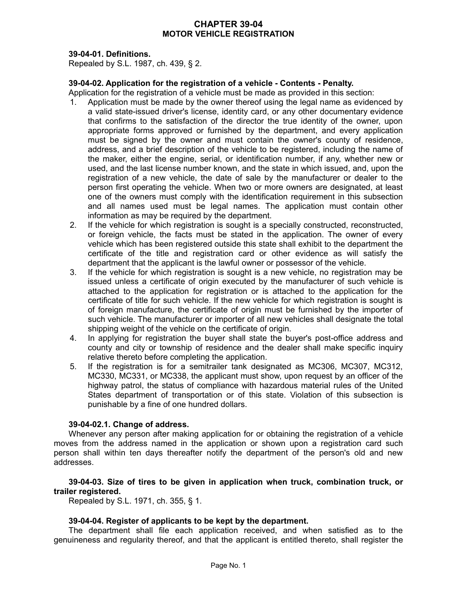# **CHAPTER 39-04 MOTOR VEHICLE REGISTRATION**

# **39-04-01. Definitions.**

Repealed by S.L. 1987, ch. 439, § 2.

## **39-04-02. Application for the registration of a vehicle - Contents - Penalty.**

Application for the registration of a vehicle must be made as provided in this section:

- Application must be made by the owner thereof using the legal name as evidenced by a valid state-issued driver's license, identity card, or any other documentary evidence that confirms to the satisfaction of the director the true identity of the owner, upon appropriate forms approved or furnished by the department, and every application must be signed by the owner and must contain the owner's county of residence, address, and a brief description of the vehicle to be registered, including the name of the maker, either the engine, serial, or identification number, if any, whether new or used, and the last license number known, and the state in which issued, and, upon the registration of a new vehicle, the date of sale by the manufacturer or dealer to the person first operating the vehicle. When two or more owners are designated, at least one of the owners must comply with the identification requirement in this subsection and all names used must be legal names. The application must contain other information as may be required by the department.
- 2. If the vehicle for which registration is sought is a specially constructed, reconstructed, or foreign vehicle, the facts must be stated in the application. The owner of every vehicle which has been registered outside this state shall exhibit to the department the certificate of the title and registration card or other evidence as will satisfy the department that the applicant is the lawful owner or possessor of the vehicle.
- 3. If the vehicle for which registration is sought is a new vehicle, no registration may be issued unless a certificate of origin executed by the manufacturer of such vehicle is attached to the application for registration or is attached to the application for the certificate of title for such vehicle. If the new vehicle for which registration is sought is of foreign manufacture, the certificate of origin must be furnished by the importer of such vehicle. The manufacturer or importer of all new vehicles shall designate the total shipping weight of the vehicle on the certificate of origin.
- 4. In applying for registration the buyer shall state the buyer's post-office address and county and city or township of residence and the dealer shall make specific inquiry relative thereto before completing the application.
- 5. If the registration is for a semitrailer tank designated as MC306, MC307, MC312, MC330, MC331, or MC338, the applicant must show, upon request by an officer of the highway patrol, the status of compliance with hazardous material rules of the United States department of transportation or of this state. Violation of this subsection is punishable by a fine of one hundred dollars.

## **39-04-02.1. Change of address.**

Whenever any person after making application for or obtaining the registration of a vehicle moves from the address named in the application or shown upon a registration card such person shall within ten days thereafter notify the department of the person's old and new addresses.

## **39-04-03. Size of tires to be given in application when truck, combination truck, or trailer registered.**

Repealed by S.L. 1971, ch. 355, § 1.

# **39-04-04. Register of applicants to be kept by the department.**

The department shall file each application received, and when satisfied as to the genuineness and regularity thereof, and that the applicant is entitled thereto, shall register the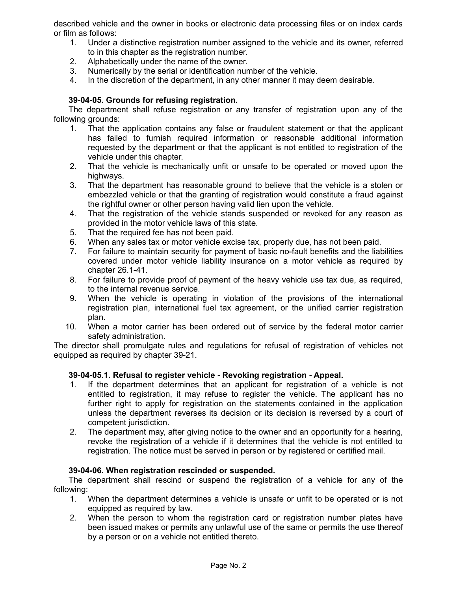described vehicle and the owner in books or electronic data processing files or on index cards or film as follows:

- 1. Under a distinctive registration number assigned to the vehicle and its owner, referred to in this chapter as the registration number.
- 2. Alphabetically under the name of the owner.
- 3. Numerically by the serial or identification number of the vehicle.
- 4. In the discretion of the department, in any other manner it may deem desirable.

# **39-04-05. Grounds for refusing registration.**

The department shall refuse registration or any transfer of registration upon any of the following grounds:

- 1. That the application contains any false or fraudulent statement or that the applicant has failed to furnish required information or reasonable additional information requested by the department or that the applicant is not entitled to registration of the vehicle under this chapter.
- 2. That the vehicle is mechanically unfit or unsafe to be operated or moved upon the highways.
- 3. That the department has reasonable ground to believe that the vehicle is a stolen or embezzled vehicle or that the granting of registration would constitute a fraud against the rightful owner or other person having valid lien upon the vehicle.
- 4. That the registration of the vehicle stands suspended or revoked for any reason as provided in the motor vehicle laws of this state.
- 5. That the required fee has not been paid.
- 6. When any sales tax or motor vehicle excise tax, properly due, has not been paid.
- 7. For failure to maintain security for payment of basic no-fault benefits and the liabilities covered under motor vehicle liability insurance on a motor vehicle as required by chapter 26.1-41.
- 8. For failure to provide proof of payment of the heavy vehicle use tax due, as required, to the internal revenue service.
- 9. When the vehicle is operating in violation of the provisions of the international registration plan, international fuel tax agreement, or the unified carrier registration plan.
- 10. When a motor carrier has been ordered out of service by the federal motor carrier safety administration.

The director shall promulgate rules and regulations for refusal of registration of vehicles not equipped as required by chapter 39-21.

# **39-04-05.1. Refusal to register vehicle - Revoking registration - Appeal.**

- 1. If the department determines that an applicant for registration of a vehicle is not entitled to registration, it may refuse to register the vehicle. The applicant has no further right to apply for registration on the statements contained in the application unless the department reverses its decision or its decision is reversed by a court of competent jurisdiction.
- 2. The department may, after giving notice to the owner and an opportunity for a hearing, revoke the registration of a vehicle if it determines that the vehicle is not entitled to registration. The notice must be served in person or by registered or certified mail.

# **39-04-06. When registration rescinded or suspended.**

The department shall rescind or suspend the registration of a vehicle for any of the following:

- 1. When the department determines a vehicle is unsafe or unfit to be operated or is not equipped as required by law.
- 2. When the person to whom the registration card or registration number plates have been issued makes or permits any unlawful use of the same or permits the use thereof by a person or on a vehicle not entitled thereto.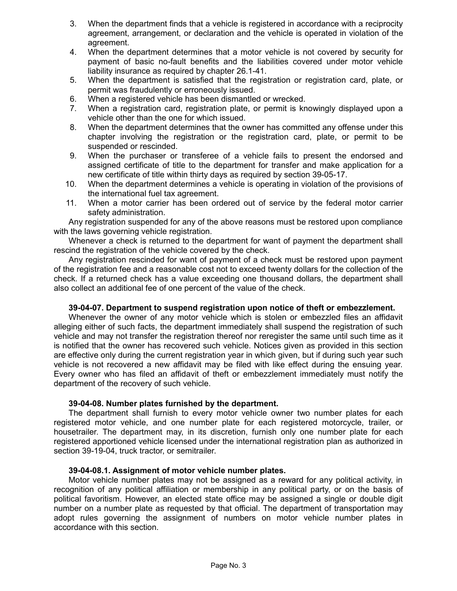- 3. When the department finds that a vehicle is registered in accordance with a reciprocity agreement, arrangement, or declaration and the vehicle is operated in violation of the agreement.
- 4. When the department determines that a motor vehicle is not covered by security for payment of basic no-fault benefits and the liabilities covered under motor vehicle liability insurance as required by chapter 26.1-41.
- 5. When the department is satisfied that the registration or registration card, plate, or permit was fraudulently or erroneously issued.
- 6. When a registered vehicle has been dismantled or wrecked.
- 7. When a registration card, registration plate, or permit is knowingly displayed upon a vehicle other than the one for which issued.
- 8. When the department determines that the owner has committed any offense under this chapter involving the registration or the registration card, plate, or permit to be suspended or rescinded.
- 9. When the purchaser or transferee of a vehicle fails to present the endorsed and assigned certificate of title to the department for transfer and make application for a new certificate of title within thirty days as required by section 39-05-17.
- 10. When the department determines a vehicle is operating in violation of the provisions of the international fuel tax agreement.
- 11. When a motor carrier has been ordered out of service by the federal motor carrier safety administration.

Any registration suspended for any of the above reasons must be restored upon compliance with the laws governing vehicle registration.

Whenever a check is returned to the department for want of payment the department shall rescind the registration of the vehicle covered by the check.

Any registration rescinded for want of payment of a check must be restored upon payment of the registration fee and a reasonable cost not to exceed twenty dollars for the collection of the check. If a returned check has a value exceeding one thousand dollars, the department shall also collect an additional fee of one percent of the value of the check.

## **39-04-07. Department to suspend registration upon notice of theft or embezzlement.**

Whenever the owner of any motor vehicle which is stolen or embezzled files an affidavit alleging either of such facts, the department immediately shall suspend the registration of such vehicle and may not transfer the registration thereof nor reregister the same until such time as it is notified that the owner has recovered such vehicle. Notices given as provided in this section are effective only during the current registration year in which given, but if during such year such vehicle is not recovered a new affidavit may be filed with like effect during the ensuing year. Every owner who has filed an affidavit of theft or embezzlement immediately must notify the department of the recovery of such vehicle.

## **39-04-08. Number plates furnished by the department.**

The department shall furnish to every motor vehicle owner two number plates for each registered motor vehicle, and one number plate for each registered motorcycle, trailer, or housetrailer. The department may, in its discretion, furnish only one number plate for each registered apportioned vehicle licensed under the international registration plan as authorized in section 39-19-04, truck tractor, or semitrailer.

## **39-04-08.1. Assignment of motor vehicle number plates.**

Motor vehicle number plates may not be assigned as a reward for any political activity, in recognition of any political affiliation or membership in any political party, or on the basis of political favoritism. However, an elected state office may be assigned a single or double digit number on a number plate as requested by that official. The department of transportation may adopt rules governing the assignment of numbers on motor vehicle number plates in accordance with this section.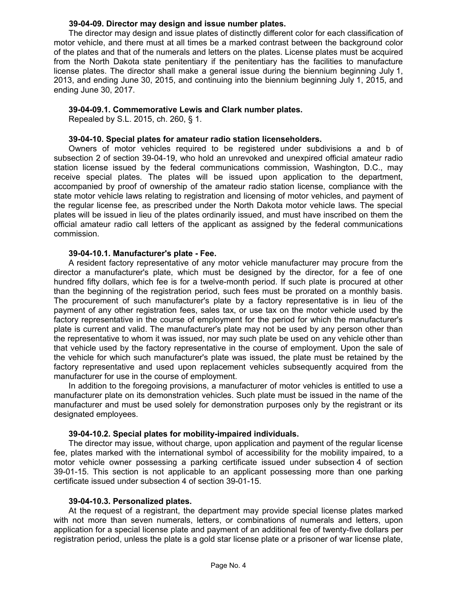## **39-04-09. Director may design and issue number plates.**

The director may design and issue plates of distinctly different color for each classification of motor vehicle, and there must at all times be a marked contrast between the background color of the plates and that of the numerals and letters on the plates. License plates must be acquired from the North Dakota state penitentiary if the penitentiary has the facilities to manufacture license plates. The director shall make a general issue during the biennium beginning July 1, 2013, and ending June 30, 2015, and continuing into the biennium beginning July 1, 2015, and ending June 30, 2017.

## **39-04-09.1. Commemorative Lewis and Clark number plates.**

Repealed by S.L. 2015, ch. 260, § 1.

## **39-04-10. Special plates for amateur radio station licenseholders.**

Owners of motor vehicles required to be registered under subdivisions a and b of subsection 2 of section 39-04-19, who hold an unrevoked and unexpired official amateur radio station license issued by the federal communications commission, Washington, D.C., may receive special plates. The plates will be issued upon application to the department, accompanied by proof of ownership of the amateur radio station license, compliance with the state motor vehicle laws relating to registration and licensing of motor vehicles, and payment of the regular license fee, as prescribed under the North Dakota motor vehicle laws. The special plates will be issued in lieu of the plates ordinarily issued, and must have inscribed on them the official amateur radio call letters of the applicant as assigned by the federal communications commission.

## **39-04-10.1. Manufacturer's plate - Fee.**

A resident factory representative of any motor vehicle manufacturer may procure from the director a manufacturer's plate, which must be designed by the director, for a fee of one hundred fifty dollars, which fee is for a twelve-month period. If such plate is procured at other than the beginning of the registration period, such fees must be prorated on a monthly basis. The procurement of such manufacturer's plate by a factory representative is in lieu of the payment of any other registration fees, sales tax, or use tax on the motor vehicle used by the factory representative in the course of employment for the period for which the manufacturer's plate is current and valid. The manufacturer's plate may not be used by any person other than the representative to whom it was issued, nor may such plate be used on any vehicle other than that vehicle used by the factory representative in the course of employment. Upon the sale of the vehicle for which such manufacturer's plate was issued, the plate must be retained by the factory representative and used upon replacement vehicles subsequently acquired from the manufacturer for use in the course of employment.

In addition to the foregoing provisions, a manufacturer of motor vehicles is entitled to use a manufacturer plate on its demonstration vehicles. Such plate must be issued in the name of the manufacturer and must be used solely for demonstration purposes only by the registrant or its designated employees.

# **39-04-10.2. Special plates for mobility-impaired individuals.**

The director may issue, without charge, upon application and payment of the regular license fee, plates marked with the international symbol of accessibility for the mobility impaired, to a motor vehicle owner possessing a parking certificate issued under subsection 4 of section 39-01-15. This section is not applicable to an applicant possessing more than one parking certificate issued under subsection 4 of section 39-01-15.

# **39-04-10.3. Personalized plates.**

At the request of a registrant, the department may provide special license plates marked with not more than seven numerals, letters, or combinations of numerals and letters, upon application for a special license plate and payment of an additional fee of twenty-five dollars per registration period, unless the plate is a gold star license plate or a prisoner of war license plate,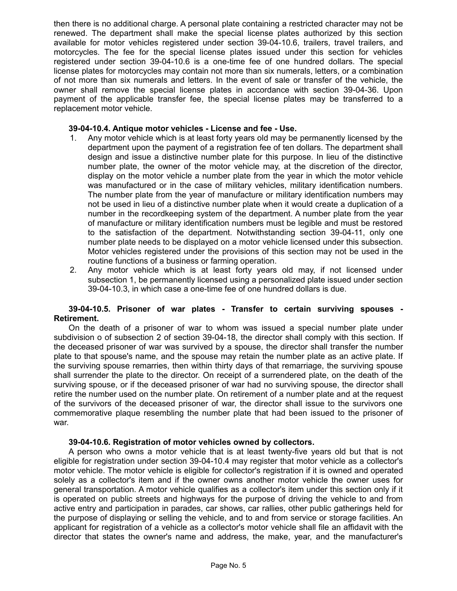then there is no additional charge. A personal plate containing a restricted character may not be renewed. The department shall make the special license plates authorized by this section available for motor vehicles registered under section 39-04-10.6, trailers, travel trailers, and motorcycles. The fee for the special license plates issued under this section for vehicles registered under section 39-04-10.6 is a one-time fee of one hundred dollars. The special license plates for motorcycles may contain not more than six numerals, letters, or a combination of not more than six numerals and letters. In the event of sale or transfer of the vehicle, the owner shall remove the special license plates in accordance with section 39-04-36. Upon payment of the applicable transfer fee, the special license plates may be transferred to a replacement motor vehicle.

## **39-04-10.4. Antique motor vehicles - License and fee - Use.**

- 1. Any motor vehicle which is at least forty years old may be permanently licensed by the department upon the payment of a registration fee of ten dollars. The department shall design and issue a distinctive number plate for this purpose. In lieu of the distinctive number plate, the owner of the motor vehicle may, at the discretion of the director, display on the motor vehicle a number plate from the year in which the motor vehicle was manufactured or in the case of military vehicles, military identification numbers. The number plate from the year of manufacture or military identification numbers may not be used in lieu of a distinctive number plate when it would create a duplication of a number in the recordkeeping system of the department. A number plate from the year of manufacture or military identification numbers must be legible and must be restored to the satisfaction of the department. Notwithstanding section 39-04-11, only one number plate needs to be displayed on a motor vehicle licensed under this subsection. Motor vehicles registered under the provisions of this section may not be used in the routine functions of a business or farming operation.
- 2. Any motor vehicle which is at least forty years old may, if not licensed under subsection 1, be permanently licensed using a personalized plate issued under section 39-04-10.3, in which case a one-time fee of one hundred dollars is due.

## **39-04-10.5. Prisoner of war plates - Transfer to certain surviving spouses - Retirement.**

On the death of a prisoner of war to whom was issued a special number plate under subdivision o of subsection 2 of section 39-04-18, the director shall comply with this section. If the deceased prisoner of war was survived by a spouse, the director shall transfer the number plate to that spouse's name, and the spouse may retain the number plate as an active plate. If the surviving spouse remarries, then within thirty days of that remarriage, the surviving spouse shall surrender the plate to the director. On receipt of a surrendered plate, on the death of the surviving spouse, or if the deceased prisoner of war had no surviving spouse, the director shall retire the number used on the number plate. On retirement of a number plate and at the request of the survivors of the deceased prisoner of war, the director shall issue to the survivors one commemorative plaque resembling the number plate that had been issued to the prisoner of war.

## **39-04-10.6. Registration of motor vehicles owned by collectors.**

A person who owns a motor vehicle that is at least twenty-five years old but that is not eligible for registration under section 39-04-10.4 may register that motor vehicle as a collector's motor vehicle. The motor vehicle is eligible for collector's registration if it is owned and operated solely as a collector's item and if the owner owns another motor vehicle the owner uses for general transportation. A motor vehicle qualifies as a collector's item under this section only if it is operated on public streets and highways for the purpose of driving the vehicle to and from active entry and participation in parades, car shows, car rallies, other public gatherings held for the purpose of displaying or selling the vehicle, and to and from service or storage facilities. An applicant for registration of a vehicle as a collector's motor vehicle shall file an affidavit with the director that states the owner's name and address, the make, year, and the manufacturer's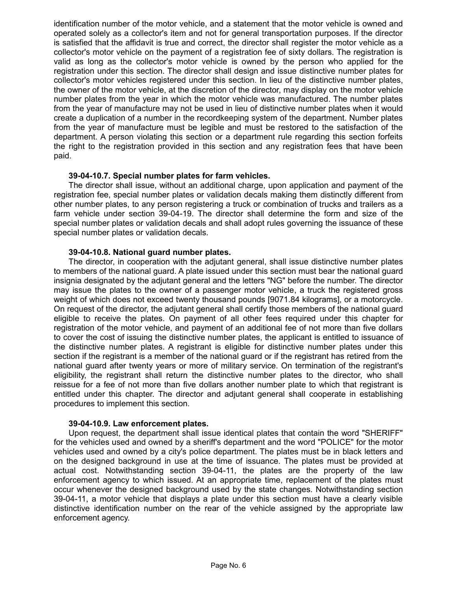identification number of the motor vehicle, and a statement that the motor vehicle is owned and operated solely as a collector's item and not for general transportation purposes. If the director is satisfied that the affidavit is true and correct, the director shall register the motor vehicle as a collector's motor vehicle on the payment of a registration fee of sixty dollars. The registration is valid as long as the collector's motor vehicle is owned by the person who applied for the registration under this section. The director shall design and issue distinctive number plates for collector's motor vehicles registered under this section. In lieu of the distinctive number plates, the owner of the motor vehicle, at the discretion of the director, may display on the motor vehicle number plates from the year in which the motor vehicle was manufactured. The number plates from the year of manufacture may not be used in lieu of distinctive number plates when it would create a duplication of a number in the recordkeeping system of the department. Number plates from the year of manufacture must be legible and must be restored to the satisfaction of the department. A person violating this section or a department rule regarding this section forfeits the right to the registration provided in this section and any registration fees that have been paid.

## **39-04-10.7. Special number plates for farm vehicles.**

The director shall issue, without an additional charge, upon application and payment of the registration fee, special number plates or validation decals making them distinctly different from other number plates, to any person registering a truck or combination of trucks and trailers as a farm vehicle under section 39-04-19. The director shall determine the form and size of the special number plates or validation decals and shall adopt rules governing the issuance of these special number plates or validation decals.

## **39-04-10.8. National guard number plates.**

The director, in cooperation with the adjutant general, shall issue distinctive number plates to members of the national guard. A plate issued under this section must bear the national guard insignia designated by the adjutant general and the letters "NG" before the number. The director may issue the plates to the owner of a passenger motor vehicle, a truck the registered gross weight of which does not exceed twenty thousand pounds [9071.84 kilograms], or a motorcycle. On request of the director, the adjutant general shall certify those members of the national guard eligible to receive the plates. On payment of all other fees required under this chapter for registration of the motor vehicle, and payment of an additional fee of not more than five dollars to cover the cost of issuing the distinctive number plates, the applicant is entitled to issuance of the distinctive number plates. A registrant is eligible for distinctive number plates under this section if the registrant is a member of the national guard or if the registrant has retired from the national guard after twenty years or more of military service. On termination of the registrant's eligibility, the registrant shall return the distinctive number plates to the director, who shall reissue for a fee of not more than five dollars another number plate to which that registrant is entitled under this chapter. The director and adjutant general shall cooperate in establishing procedures to implement this section.

## **39-04-10.9. Law enforcement plates.**

Upon request, the department shall issue identical plates that contain the word "SHERIFF" for the vehicles used and owned by a sheriff's department and the word "POLICE" for the motor vehicles used and owned by a city's police department. The plates must be in black letters and on the designed background in use at the time of issuance. The plates must be provided at actual cost. Notwithstanding section 39-04-11, the plates are the property of the law enforcement agency to which issued. At an appropriate time, replacement of the plates must occur whenever the designed background used by the state changes. Notwithstanding section 39-04-11, a motor vehicle that displays a plate under this section must have a clearly visible distinctive identification number on the rear of the vehicle assigned by the appropriate law enforcement agency.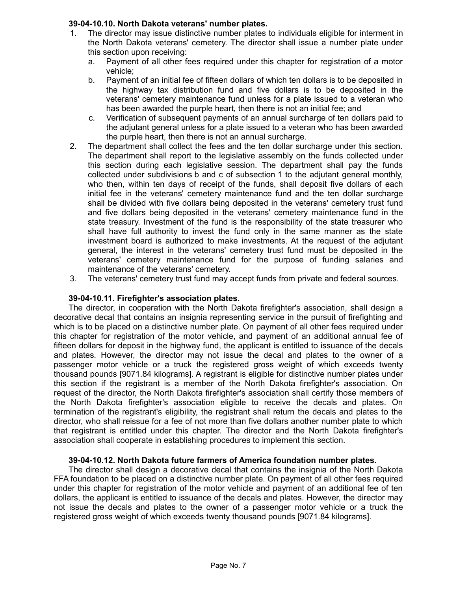## **39-04-10.10. North Dakota veterans' number plates.**

- 1. The director may issue distinctive number plates to individuals eligible for interment in the North Dakota veterans' cemetery. The director shall issue a number plate under this section upon receiving:
	- a. Payment of all other fees required under this chapter for registration of a motor vehicle;
	- b. Payment of an initial fee of fifteen dollars of which ten dollars is to be deposited in the highway tax distribution fund and five dollars is to be deposited in the veterans' cemetery maintenance fund unless for a plate issued to a veteran who has been awarded the purple heart, then there is not an initial fee; and
	- c. Verification of subsequent payments of an annual surcharge of ten dollars paid to the adjutant general unless for a plate issued to a veteran who has been awarded the purple heart, then there is not an annual surcharge.
- 2. The department shall collect the fees and the ten dollar surcharge under this section. The department shall report to the legislative assembly on the funds collected under this section during each legislative session. The department shall pay the funds collected under subdivisions b and c of subsection 1 to the adjutant general monthly, who then, within ten days of receipt of the funds, shall deposit five dollars of each initial fee in the veterans' cemetery maintenance fund and the ten dollar surcharge shall be divided with five dollars being deposited in the veterans' cemetery trust fund and five dollars being deposited in the veterans' cemetery maintenance fund in the state treasury. Investment of the fund is the responsibility of the state treasurer who shall have full authority to invest the fund only in the same manner as the state investment board is authorized to make investments. At the request of the adjutant general, the interest in the veterans' cemetery trust fund must be deposited in the veterans' cemetery maintenance fund for the purpose of funding salaries and maintenance of the veterans' cemetery.
- 3. The veterans' cemetery trust fund may accept funds from private and federal sources.

## **39-04-10.11. Firefighter's association plates.**

The director, in cooperation with the North Dakota firefighter's association, shall design a decorative decal that contains an insignia representing service in the pursuit of firefighting and which is to be placed on a distinctive number plate. On payment of all other fees required under this chapter for registration of the motor vehicle, and payment of an additional annual fee of fifteen dollars for deposit in the highway fund, the applicant is entitled to issuance of the decals and plates. However, the director may not issue the decal and plates to the owner of a passenger motor vehicle or a truck the registered gross weight of which exceeds twenty thousand pounds [9071.84 kilograms]. A registrant is eligible for distinctive number plates under this section if the registrant is a member of the North Dakota firefighter's association. On request of the director, the North Dakota firefighter's association shall certify those members of the North Dakota firefighter's association eligible to receive the decals and plates. On termination of the registrant's eligibility, the registrant shall return the decals and plates to the director, who shall reissue for a fee of not more than five dollars another number plate to which that registrant is entitled under this chapter. The director and the North Dakota firefighter's association shall cooperate in establishing procedures to implement this section.

## **39-04-10.12. North Dakota future farmers of America foundation number plates.**

The director shall design a decorative decal that contains the insignia of the North Dakota FFA foundation to be placed on a distinctive number plate. On payment of all other fees required under this chapter for registration of the motor vehicle and payment of an additional fee of ten dollars, the applicant is entitled to issuance of the decals and plates. However, the director may not issue the decals and plates to the owner of a passenger motor vehicle or a truck the registered gross weight of which exceeds twenty thousand pounds [9071.84 kilograms].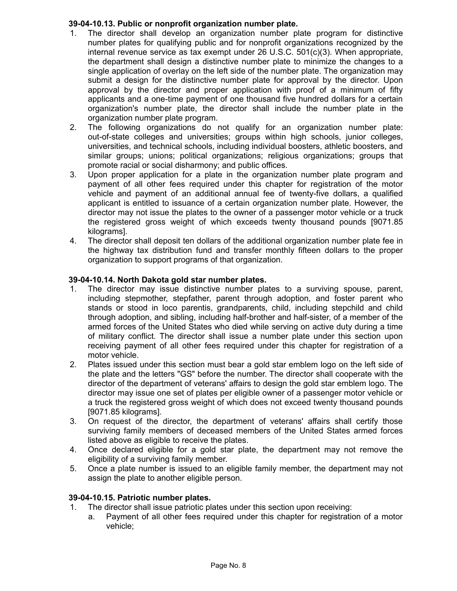# **39-04-10.13. Public or nonprofit organization number plate.**

- 1. The director shall develop an organization number plate program for distinctive number plates for qualifying public and for nonprofit organizations recognized by the internal revenue service as tax exempt under 26 U.S.C. 501(c)(3). When appropriate, the department shall design a distinctive number plate to minimize the changes to a single application of overlay on the left side of the number plate. The organization may submit a design for the distinctive number plate for approval by the director. Upon approval by the director and proper application with proof of a minimum of fifty applicants and a one-time payment of one thousand five hundred dollars for a certain organization's number plate, the director shall include the number plate in the organization number plate program.
- 2. The following organizations do not qualify for an organization number plate: out-of-state colleges and universities; groups within high schools, junior colleges, universities, and technical schools, including individual boosters, athletic boosters, and similar groups; unions; political organizations; religious organizations; groups that promote racial or social disharmony; and public offices.
- 3. Upon proper application for a plate in the organization number plate program and payment of all other fees required under this chapter for registration of the motor vehicle and payment of an additional annual fee of twenty-five dollars, a qualified applicant is entitled to issuance of a certain organization number plate. However, the director may not issue the plates to the owner of a passenger motor vehicle or a truck the registered gross weight of which exceeds twenty thousand pounds [9071.85 kilograms].
- 4. The director shall deposit ten dollars of the additional organization number plate fee in the highway tax distribution fund and transfer monthly fifteen dollars to the proper organization to support programs of that organization.

# **39-04-10.14. North Dakota gold star number plates.**

- 1. The director may issue distinctive number plates to a surviving spouse, parent, including stepmother, stepfather, parent through adoption, and foster parent who stands or stood in loco parentis, grandparents, child, including stepchild and child through adoption, and sibling, including half-brother and half-sister, of a member of the armed forces of the United States who died while serving on active duty during a time of military conflict. The director shall issue a number plate under this section upon receiving payment of all other fees required under this chapter for registration of a motor vehicle.
- 2. Plates issued under this section must bear a gold star emblem logo on the left side of the plate and the letters "GS" before the number. The director shall cooperate with the director of the department of veterans' affairs to design the gold star emblem logo. The director may issue one set of plates per eligible owner of a passenger motor vehicle or a truck the registered gross weight of which does not exceed twenty thousand pounds [9071.85 kilograms].
- 3. On request of the director, the department of veterans' affairs shall certify those surviving family members of deceased members of the United States armed forces listed above as eligible to receive the plates.
- 4. Once declared eligible for a gold star plate, the department may not remove the eligibility of a surviving family member.
- 5. Once a plate number is issued to an eligible family member, the department may not assign the plate to another eligible person.

# **39-04-10.15. Patriotic number plates.**

- 1. The director shall issue patriotic plates under this section upon receiving:
	- a. Payment of all other fees required under this chapter for registration of a motor vehicle;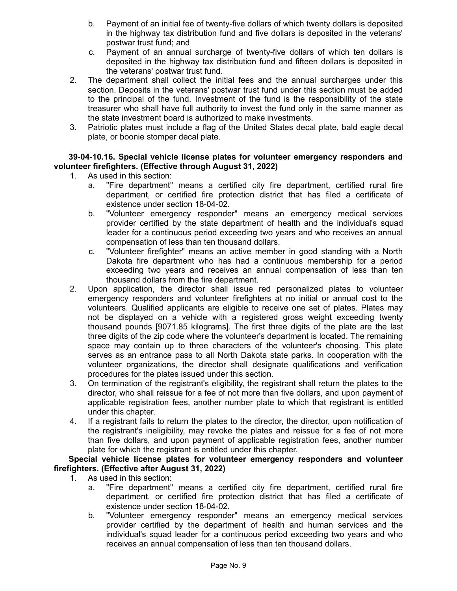- b. Payment of an initial fee of twenty-five dollars of which twenty dollars is deposited in the highway tax distribution fund and five dollars is deposited in the veterans' postwar trust fund; and
- c. Payment of an annual surcharge of twenty-five dollars of which ten dollars is deposited in the highway tax distribution fund and fifteen dollars is deposited in the veterans' postwar trust fund.
- 2. The department shall collect the initial fees and the annual surcharges under this section. Deposits in the veterans' postwar trust fund under this section must be added to the principal of the fund. Investment of the fund is the responsibility of the state treasurer who shall have full authority to invest the fund only in the same manner as the state investment board is authorized to make investments.
- 3. Patriotic plates must include a flag of the United States decal plate, bald eagle decal plate, or boonie stomper decal plate.

# **39-04-10.16. Special vehicle license plates for volunteer emergency responders and volunteer firefighters. (Effective through August 31, 2022)**

- 1. As used in this section:
	- a. "Fire department" means a certified city fire department, certified rural fire department, or certified fire protection district that has filed a certificate of existence under section 18-04-02.
	- b. "Volunteer emergency responder" means an emergency medical services provider certified by the state department of health and the individual's squad leader for a continuous period exceeding two years and who receives an annual compensation of less than ten thousand dollars.
	- c. "Volunteer firefighter" means an active member in good standing with a North Dakota fire department who has had a continuous membership for a period exceeding two years and receives an annual compensation of less than ten thousand dollars from the fire department.
- 2. Upon application, the director shall issue red personalized plates to volunteer emergency responders and volunteer firefighters at no initial or annual cost to the volunteers. Qualified applicants are eligible to receive one set of plates. Plates may not be displayed on a vehicle with a registered gross weight exceeding twenty thousand pounds [9071.85 kilograms]. The first three digits of the plate are the last three digits of the zip code where the volunteer's department is located. The remaining space may contain up to three characters of the volunteer's choosing. This plate serves as an entrance pass to all North Dakota state parks. In cooperation with the volunteer organizations, the director shall designate qualifications and verification procedures for the plates issued under this section.
- 3. On termination of the registrant's eligibility, the registrant shall return the plates to the director, who shall reissue for a fee of not more than five dollars, and upon payment of applicable registration fees, another number plate to which that registrant is entitled under this chapter.
- 4. If a registrant fails to return the plates to the director, the director, upon notification of the registrant's ineligibility, may revoke the plates and reissue for a fee of not more than five dollars, and upon payment of applicable registration fees, another number plate for which the registrant is entitled under this chapter.

## **Special vehicle license plates for volunteer emergency responders and volunteer firefighters. (Effective after August 31, 2022)**

- 1. As used in this section:
	- a. "Fire department" means a certified city fire department, certified rural fire department, or certified fire protection district that has filed a certificate of existence under section 18-04-02.
	- b. "Volunteer emergency responder" means an emergency medical services provider certified by the department of health and human services and the individual's squad leader for a continuous period exceeding two years and who receives an annual compensation of less than ten thousand dollars.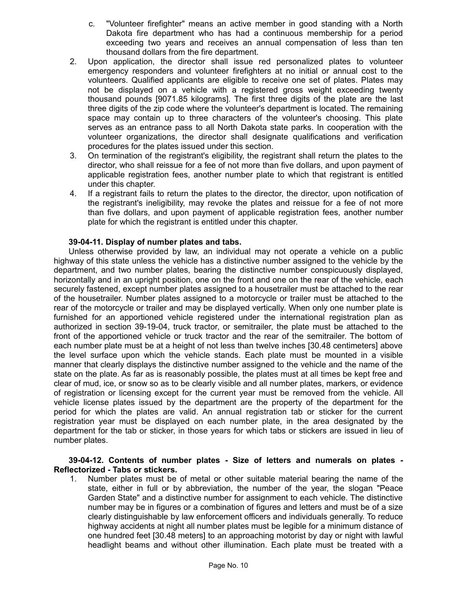- c. "Volunteer firefighter" means an active member in good standing with a North Dakota fire department who has had a continuous membership for a period exceeding two years and receives an annual compensation of less than ten thousand dollars from the fire department.
- 2. Upon application, the director shall issue red personalized plates to volunteer emergency responders and volunteer firefighters at no initial or annual cost to the volunteers. Qualified applicants are eligible to receive one set of plates. Plates may not be displayed on a vehicle with a registered gross weight exceeding twenty thousand pounds [9071.85 kilograms]. The first three digits of the plate are the last three digits of the zip code where the volunteer's department is located. The remaining space may contain up to three characters of the volunteer's choosing. This plate serves as an entrance pass to all North Dakota state parks. In cooperation with the volunteer organizations, the director shall designate qualifications and verification procedures for the plates issued under this section.
- 3. On termination of the registrant's eligibility, the registrant shall return the plates to the director, who shall reissue for a fee of not more than five dollars, and upon payment of applicable registration fees, another number plate to which that registrant is entitled under this chapter.
- 4. If a registrant fails to return the plates to the director, the director, upon notification of the registrant's ineligibility, may revoke the plates and reissue for a fee of not more than five dollars, and upon payment of applicable registration fees, another number plate for which the registrant is entitled under this chapter.

## **39-04-11. Display of number plates and tabs.**

Unless otherwise provided by law, an individual may not operate a vehicle on a public highway of this state unless the vehicle has a distinctive number assigned to the vehicle by the department, and two number plates, bearing the distinctive number conspicuously displayed, horizontally and in an upright position, one on the front and one on the rear of the vehicle, each securely fastened, except number plates assigned to a housetrailer must be attached to the rear of the housetrailer. Number plates assigned to a motorcycle or trailer must be attached to the rear of the motorcycle or trailer and may be displayed vertically. When only one number plate is furnished for an apportioned vehicle registered under the international registration plan as authorized in section 39-19-04, truck tractor, or semitrailer, the plate must be attached to the front of the apportioned vehicle or truck tractor and the rear of the semitrailer. The bottom of each number plate must be at a height of not less than twelve inches [30.48 centimeters] above the level surface upon which the vehicle stands. Each plate must be mounted in a visible manner that clearly displays the distinctive number assigned to the vehicle and the name of the state on the plate. As far as is reasonably possible, the plates must at all times be kept free and clear of mud, ice, or snow so as to be clearly visible and all number plates, markers, or evidence of registration or licensing except for the current year must be removed from the vehicle. All vehicle license plates issued by the department are the property of the department for the period for which the plates are valid. An annual registration tab or sticker for the current registration year must be displayed on each number plate, in the area designated by the department for the tab or sticker, in those years for which tabs or stickers are issued in lieu of number plates.

## **39-04-12. Contents of number plates - Size of letters and numerals on plates - Reflectorized - Tabs or stickers.**

1. Number plates must be of metal or other suitable material bearing the name of the state, either in full or by abbreviation, the number of the year, the slogan "Peace Garden State" and a distinctive number for assignment to each vehicle. The distinctive number may be in figures or a combination of figures and letters and must be of a size clearly distinguishable by law enforcement officers and individuals generally. To reduce highway accidents at night all number plates must be legible for a minimum distance of one hundred feet [30.48 meters] to an approaching motorist by day or night with lawful headlight beams and without other illumination. Each plate must be treated with a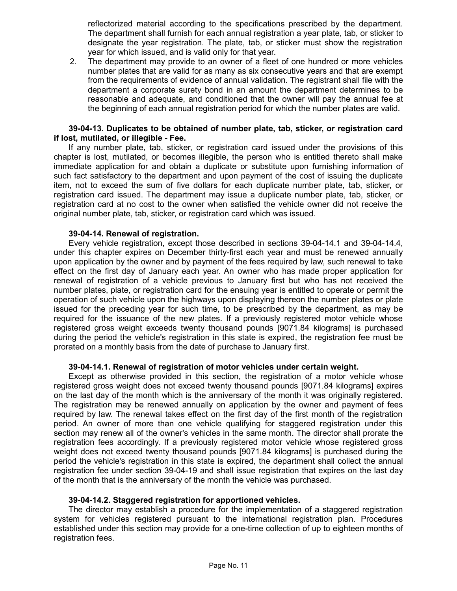reflectorized material according to the specifications prescribed by the department. The department shall furnish for each annual registration a year plate, tab, or sticker to designate the year registration. The plate, tab, or sticker must show the registration year for which issued, and is valid only for that year.

2. The department may provide to an owner of a fleet of one hundred or more vehicles number plates that are valid for as many as six consecutive years and that are exempt from the requirements of evidence of annual validation. The registrant shall file with the department a corporate surety bond in an amount the department determines to be reasonable and adequate, and conditioned that the owner will pay the annual fee at the beginning of each annual registration period for which the number plates are valid.

## **39-04-13. Duplicates to be obtained of number plate, tab, sticker, or registration card if lost, mutilated, or illegible - Fee.**

If any number plate, tab, sticker, or registration card issued under the provisions of this chapter is lost, mutilated, or becomes illegible, the person who is entitled thereto shall make immediate application for and obtain a duplicate or substitute upon furnishing information of such fact satisfactory to the department and upon payment of the cost of issuing the duplicate item, not to exceed the sum of five dollars for each duplicate number plate, tab, sticker, or registration card issued. The department may issue a duplicate number plate, tab, sticker, or registration card at no cost to the owner when satisfied the vehicle owner did not receive the original number plate, tab, sticker, or registration card which was issued.

## **39-04-14. Renewal of registration.**

Every vehicle registration, except those described in sections 39-04-14.1 and 39-04-14.4, under this chapter expires on December thirty-first each year and must be renewed annually upon application by the owner and by payment of the fees required by law, such renewal to take effect on the first day of January each year. An owner who has made proper application for renewal of registration of a vehicle previous to January first but who has not received the number plates, plate, or registration card for the ensuing year is entitled to operate or permit the operation of such vehicle upon the highways upon displaying thereon the number plates or plate issued for the preceding year for such time, to be prescribed by the department, as may be required for the issuance of the new plates. If a previously registered motor vehicle whose registered gross weight exceeds twenty thousand pounds [9071.84 kilograms] is purchased during the period the vehicle's registration in this state is expired, the registration fee must be prorated on a monthly basis from the date of purchase to January first.

## **39-04-14.1. Renewal of registration of motor vehicles under certain weight.**

Except as otherwise provided in this section, the registration of a motor vehicle whose registered gross weight does not exceed twenty thousand pounds [9071.84 kilograms] expires on the last day of the month which is the anniversary of the month it was originally registered. The registration may be renewed annually on application by the owner and payment of fees required by law. The renewal takes effect on the first day of the first month of the registration period. An owner of more than one vehicle qualifying for staggered registration under this section may renew all of the owner's vehicles in the same month. The director shall prorate the registration fees accordingly. If a previously registered motor vehicle whose registered gross weight does not exceed twenty thousand pounds [9071.84 kilograms] is purchased during the period the vehicle's registration in this state is expired, the department shall collect the annual registration fee under section 39-04-19 and shall issue registration that expires on the last day of the month that is the anniversary of the month the vehicle was purchased.

## **39-04-14.2. Staggered registration for apportioned vehicles.**

The director may establish a procedure for the implementation of a staggered registration system for vehicles registered pursuant to the international registration plan. Procedures established under this section may provide for a one-time collection of up to eighteen months of registration fees.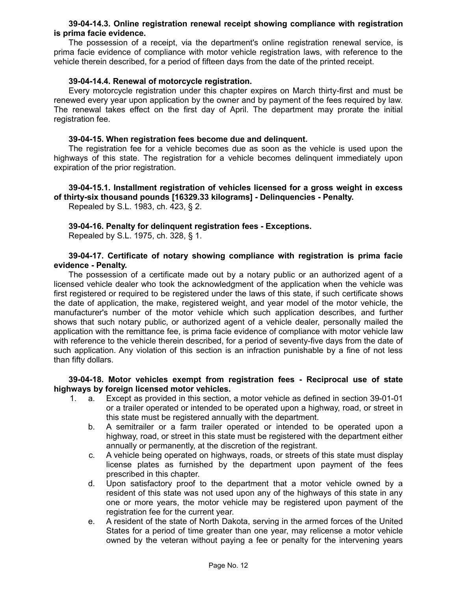## **39-04-14.3. Online registration renewal receipt showing compliance with registration is prima facie evidence.**

The possession of a receipt, via the department's online registration renewal service, is prima facie evidence of compliance with motor vehicle registration laws, with reference to the vehicle therein described, for a period of fifteen days from the date of the printed receipt.

# **39-04-14.4. Renewal of motorcycle registration.**

Every motorcycle registration under this chapter expires on March thirty-first and must be renewed every year upon application by the owner and by payment of the fees required by law. The renewal takes effect on the first day of April. The department may prorate the initial registration fee.

## **39-04-15. When registration fees become due and delinquent.**

The registration fee for a vehicle becomes due as soon as the vehicle is used upon the highways of this state. The registration for a vehicle becomes delinquent immediately upon expiration of the prior registration.

**39-04-15.1. Installment registration of vehicles licensed for a gross weight in excess of thirty-six thousand pounds [16329.33 kilograms] - Delinquencies - Penalty.**

Repealed by S.L. 1983, ch. 423, § 2.

## **39-04-16. Penalty for delinquent registration fees - Exceptions.**

Repealed by S.L. 1975, ch. 328, § 1.

## **39-04-17. Certificate of notary showing compliance with registration is prima facie evidence - Penalty.**

The possession of a certificate made out by a notary public or an authorized agent of a licensed vehicle dealer who took the acknowledgment of the application when the vehicle was first registered or required to be registered under the laws of this state, if such certificate shows the date of application, the make, registered weight, and year model of the motor vehicle, the manufacturer's number of the motor vehicle which such application describes, and further shows that such notary public, or authorized agent of a vehicle dealer, personally mailed the application with the remittance fee, is prima facie evidence of compliance with motor vehicle law with reference to the vehicle therein described, for a period of seventy-five days from the date of such application. Any violation of this section is an infraction punishable by a fine of not less than fifty dollars.

## **39-04-18. Motor vehicles exempt from registration fees - Reciprocal use of state highways by foreign licensed motor vehicles.**

- 1. a. Except as provided in this section, a motor vehicle as defined in section 39-01-01 or a trailer operated or intended to be operated upon a highway, road, or street in this state must be registered annually with the department.
	- b. A semitrailer or a farm trailer operated or intended to be operated upon a highway, road, or street in this state must be registered with the department either annually or permanently, at the discretion of the registrant.
	- c. A vehicle being operated on highways, roads, or streets of this state must display license plates as furnished by the department upon payment of the fees prescribed in this chapter.
	- d. Upon satisfactory proof to the department that a motor vehicle owned by a resident of this state was not used upon any of the highways of this state in any one or more years, the motor vehicle may be registered upon payment of the registration fee for the current year.
	- e. A resident of the state of North Dakota, serving in the armed forces of the United States for a period of time greater than one year, may relicense a motor vehicle owned by the veteran without paying a fee or penalty for the intervening years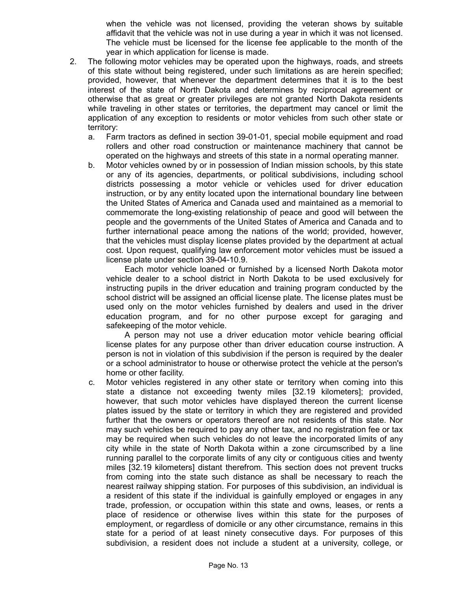when the vehicle was not licensed, providing the veteran shows by suitable affidavit that the vehicle was not in use during a year in which it was not licensed. The vehicle must be licensed for the license fee applicable to the month of the year in which application for license is made.

- 2. The following motor vehicles may be operated upon the highways, roads, and streets of this state without being registered, under such limitations as are herein specified; provided, however, that whenever the department determines that it is to the best interest of the state of North Dakota and determines by reciprocal agreement or otherwise that as great or greater privileges are not granted North Dakota residents while traveling in other states or territories, the department may cancel or limit the application of any exception to residents or motor vehicles from such other state or territory:
	- a. Farm tractors as defined in section 39-01-01, special mobile equipment and road rollers and other road construction or maintenance machinery that cannot be operated on the highways and streets of this state in a normal operating manner.
	- b. Motor vehicles owned by or in possession of Indian mission schools, by this state or any of its agencies, departments, or political subdivisions, including school districts possessing a motor vehicle or vehicles used for driver education instruction, or by any entity located upon the international boundary line between the United States of America and Canada used and maintained as a memorial to commemorate the long-existing relationship of peace and good will between the people and the governments of the United States of America and Canada and to further international peace among the nations of the world; provided, however, that the vehicles must display license plates provided by the department at actual cost. Upon request, qualifying law enforcement motor vehicles must be issued a license plate under section 39-04-10.9.

Each motor vehicle loaned or furnished by a licensed North Dakota motor vehicle dealer to a school district in North Dakota to be used exclusively for instructing pupils in the driver education and training program conducted by the school district will be assigned an official license plate. The license plates must be used only on the motor vehicles furnished by dealers and used in the driver education program, and for no other purpose except for garaging and safekeeping of the motor vehicle.

A person may not use a driver education motor vehicle bearing official license plates for any purpose other than driver education course instruction. A person is not in violation of this subdivision if the person is required by the dealer or a school administrator to house or otherwise protect the vehicle at the person's home or other facility.

c. Motor vehicles registered in any other state or territory when coming into this state a distance not exceeding twenty miles [32.19 kilometers]; provided, however, that such motor vehicles have displayed thereon the current license plates issued by the state or territory in which they are registered and provided further that the owners or operators thereof are not residents of this state. Nor may such vehicles be required to pay any other tax, and no registration fee or tax may be required when such vehicles do not leave the incorporated limits of any city while in the state of North Dakota within a zone circumscribed by a line running parallel to the corporate limits of any city or contiguous cities and twenty miles [32.19 kilometers] distant therefrom. This section does not prevent trucks from coming into the state such distance as shall be necessary to reach the nearest railway shipping station. For purposes of this subdivision, an individual is a resident of this state if the individual is gainfully employed or engages in any trade, profession, or occupation within this state and owns, leases, or rents a place of residence or otherwise lives within this state for the purposes of employment, or regardless of domicile or any other circumstance, remains in this state for a period of at least ninety consecutive days. For purposes of this subdivision, a resident does not include a student at a university, college, or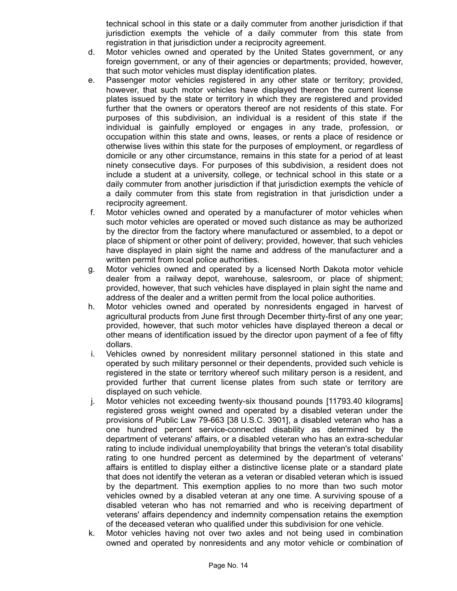technical school in this state or a daily commuter from another jurisdiction if that jurisdiction exempts the vehicle of a daily commuter from this state from registration in that jurisdiction under a reciprocity agreement.

- d. Motor vehicles owned and operated by the United States government, or any foreign government, or any of their agencies or departments; provided, however, that such motor vehicles must display identification plates.
- e. Passenger motor vehicles registered in any other state or territory; provided, however, that such motor vehicles have displayed thereon the current license plates issued by the state or territory in which they are registered and provided further that the owners or operators thereof are not residents of this state. For purposes of this subdivision, an individual is a resident of this state if the individual is gainfully employed or engages in any trade, profession, or occupation within this state and owns, leases, or rents a place of residence or otherwise lives within this state for the purposes of employment, or regardless of domicile or any other circumstance, remains in this state for a period of at least ninety consecutive days. For purposes of this subdivision, a resident does not include a student at a university, college, or technical school in this state or a daily commuter from another jurisdiction if that jurisdiction exempts the vehicle of a daily commuter from this state from registration in that jurisdiction under a reciprocity agreement.
- f. Motor vehicles owned and operated by a manufacturer of motor vehicles when such motor vehicles are operated or moved such distance as may be authorized by the director from the factory where manufactured or assembled, to a depot or place of shipment or other point of delivery; provided, however, that such vehicles have displayed in plain sight the name and address of the manufacturer and a written permit from local police authorities.
- g. Motor vehicles owned and operated by a licensed North Dakota motor vehicle dealer from a railway depot, warehouse, salesroom, or place of shipment; provided, however, that such vehicles have displayed in plain sight the name and address of the dealer and a written permit from the local police authorities.
- h. Motor vehicles owned and operated by nonresidents engaged in harvest of agricultural products from June first through December thirty-first of any one year; provided, however, that such motor vehicles have displayed thereon a decal or other means of identification issued by the director upon payment of a fee of fifty dollars.
- i. Vehicles owned by nonresident military personnel stationed in this state and operated by such military personnel or their dependents, provided such vehicle is registered in the state or territory whereof such military person is a resident, and provided further that current license plates from such state or territory are displayed on such vehicle.
- j. Motor vehicles not exceeding twenty-six thousand pounds [11793.40 kilograms] registered gross weight owned and operated by a disabled veteran under the provisions of Public Law 79-663 [38 U.S.C. 3901], a disabled veteran who has a one hundred percent service-connected disability as determined by the department of veterans' affairs, or a disabled veteran who has an extra-schedular rating to include individual unemployability that brings the veteran's total disability rating to one hundred percent as determined by the department of veterans' affairs is entitled to display either a distinctive license plate or a standard plate that does not identify the veteran as a veteran or disabled veteran which is issued by the department. This exemption applies to no more than two such motor vehicles owned by a disabled veteran at any one time. A surviving spouse of a disabled veteran who has not remarried and who is receiving department of veterans' affairs dependency and indemnity compensation retains the exemption of the deceased veteran who qualified under this subdivision for one vehicle.
- k. Motor vehicles having not over two axles and not being used in combination owned and operated by nonresidents and any motor vehicle or combination of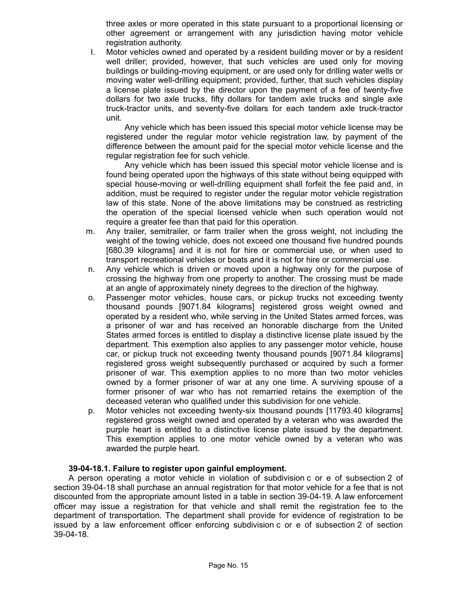three axles or more operated in this state pursuant to a proportional licensing or other agreement or arrangement with any jurisdiction having motor vehicle registration authority.

l. Motor vehicles owned and operated by a resident building mover or by a resident well driller; provided, however, that such vehicles are used only for moving buildings or building-moving equipment, or are used only for drilling water wells or moving water well-drilling equipment; provided, further, that such vehicles display a license plate issued by the director upon the payment of a fee of twenty-five dollars for two axle trucks, fifty dollars for tandem axle trucks and single axle truck-tractor units, and seventy-five dollars for each tandem axle truck-tractor unit.

Any vehicle which has been issued this special motor vehicle license may be registered under the regular motor vehicle registration law, by payment of the difference between the amount paid for the special motor vehicle license and the regular registration fee for such vehicle.

Any vehicle which has been issued this special motor vehicle license and is found being operated upon the highways of this state without being equipped with special house-moving or well-drilling equipment shall forfeit the fee paid and, in addition, must be required to register under the regular motor vehicle registration law of this state. None of the above limitations may be construed as restricting the operation of the special licensed vehicle when such operation would not require a greater fee than that paid for this operation.

- m. Any trailer, semitrailer, or farm trailer when the gross weight, not including the weight of the towing vehicle, does not exceed one thousand five hundred pounds [680.39 kilograms] and it is not for hire or commercial use, or when used to transport recreational vehicles or boats and it is not for hire or commercial use.
- n. Any vehicle which is driven or moved upon a highway only for the purpose of crossing the highway from one property to another. The crossing must be made at an angle of approximately ninety degrees to the direction of the highway.
- o. Passenger motor vehicles, house cars, or pickup trucks not exceeding twenty thousand pounds [9071.84 kilograms] registered gross weight owned and operated by a resident who, while serving in the United States armed forces, was a prisoner of war and has received an honorable discharge from the United States armed forces is entitled to display a distinctive license plate issued by the department. This exemption also applies to any passenger motor vehicle, house car, or pickup truck not exceeding twenty thousand pounds [9071.84 kilograms] registered gross weight subsequently purchased or acquired by such a former prisoner of war. This exemption applies to no more than two motor vehicles owned by a former prisoner of war at any one time. A surviving spouse of a former prisoner of war who has not remarried retains the exemption of the deceased veteran who qualified under this subdivision for one vehicle.
- p. Motor vehicles not exceeding twenty-six thousand pounds [11793.40 kilograms] registered gross weight owned and operated by a veteran who was awarded the purple heart is entitled to a distinctive license plate issued by the department. This exemption applies to one motor vehicle owned by a veteran who was awarded the purple heart.

# **39-04-18.1. Failure to register upon gainful employment.**

A person operating a motor vehicle in violation of subdivision c or e of subsection 2 of section 39-04-18 shall purchase an annual registration for that motor vehicle for a fee that is not discounted from the appropriate amount listed in a table in section 39-04-19. A law enforcement officer may issue a registration for that vehicle and shall remit the registration fee to the department of transportation. The department shall provide for evidence of registration to be issued by a law enforcement officer enforcing subdivision c or e of subsection 2 of section 39-04-18.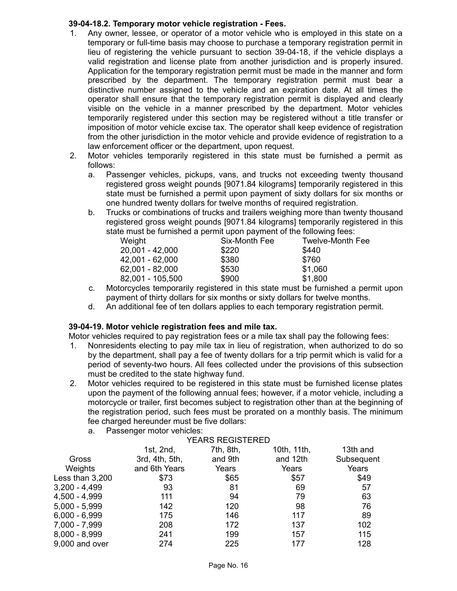# **39-04-18.2. Temporary motor vehicle registration - Fees.**

- 1. Any owner, lessee, or operator of a motor vehicle who is employed in this state on a temporary or full-time basis may choose to purchase a temporary registration permit in lieu of registering the vehicle pursuant to section 39-04-18, if the vehicle displays a valid registration and license plate from another jurisdiction and is properly insured. Application for the temporary registration permit must be made in the manner and form prescribed by the department. The temporary registration permit must bear a distinctive number assigned to the vehicle and an expiration date. At all times the operator shall ensure that the temporary registration permit is displayed and clearly visible on the vehicle in a manner prescribed by the department. Motor vehicles temporarily registered under this section may be registered without a title transfer or imposition of motor vehicle excise tax. The operator shall keep evidence of registration from the other jurisdiction in the motor vehicle and provide evidence of registration to a law enforcement officer or the department, upon request.
- 2. Motor vehicles temporarily registered in this state must be furnished a permit as follows:
	- a. Passenger vehicles, pickups, vans, and trucks not exceeding twenty thousand registered gross weight pounds [9071.84 kilograms] temporarily registered in this state must be furnished a permit upon payment of sixty dollars for six months or one hundred twenty dollars for twelve months of required registration.
	- b. Trucks or combinations of trucks and trailers weighing more than twenty thousand registered gross weight pounds [9071.84 kilograms] temporarily registered in this state must be furnished a permit upon payment of the following fees:

| Weight           | Six-Month Fee | <b>Twelve-Month Fee</b> |
|------------------|---------------|-------------------------|
| 20,001 - 42,000  | \$220         | \$440                   |
| 42,001 - 62,000  | \$380         | \$760                   |
| 62,001 - 82,000  | \$530         | \$1,060                 |
| 82,001 - 105,500 | \$900         | \$1,800                 |
|                  |               |                         |

- c. Motorcycles temporarily registered in this state must be furnished a permit upon payment of thirty dollars for six months or sixty dollars for twelve months.
- d. An additional fee of ten dollars applies to each temporary registration permit.

# **39-04-19. Motor vehicle registration fees and mile tax.**

Motor vehicles required to pay registration fees or a mile tax shall pay the following fees:

- 1. Nonresidents electing to pay mile tax in lieu of registration, when authorized to do so by the department, shall pay a fee of twenty dollars for a trip permit which is valid for a period of seventy-two hours. All fees collected under the provisions of this subsection must be credited to the state highway fund.
- 2. Motor vehicles required to be registered in this state must be furnished license plates upon the payment of the following annual fees; however, if a motor vehicle, including a motorcycle or trailer, first becomes subject to registration other than at the beginning of the registration period, such fees must be prorated on a monthly basis. The minimum fee charged hereunder must be five dollars:
	- a. Passenger motor vehicles:

|                 |                | <b>YEARS REGISTERED</b> |             |            |
|-----------------|----------------|-------------------------|-------------|------------|
|                 | 1st, $2nd$ ,   | 7th, 8th,               | 10th, 11th, | 13th and   |
| Gross           | 3rd, 4th, 5th, | and 9th                 | and 12th    | Subsequent |
| Weights         | and 6th Years  | Years                   | Years       | Years      |
| Less than 3,200 | \$73           | \$65                    | \$57        | \$49       |
| 3,200 - 4,499   | 93             | 81                      | 69          | 57         |
| 4,500 - 4,999   | 111            | 94                      | 79          | 63         |
| 5,000 - 5,999   | 142            | 120                     | 98          | 76         |
| 6,000 - 6,999   | 175            | 146                     | 117         | 89         |
| 7,000 - 7,999   | 208            | 172                     | 137         | 102        |
| 8,000 - 8,999   | 241            | 199                     | 157         | 115        |
| 9,000 and over  | 274            | 225                     | 177         | 128        |
|                 |                |                         |             |            |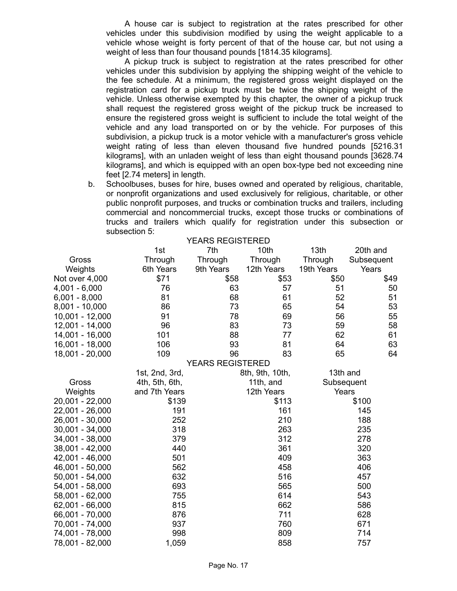A house car is subject to registration at the rates prescribed for other vehicles under this subdivision modified by using the weight applicable to a vehicle whose weight is forty percent of that of the house car, but not using a weight of less than four thousand pounds [1814.35 kilograms].

A pickup truck is subject to registration at the rates prescribed for other vehicles under this subdivision by applying the shipping weight of the vehicle to the fee schedule. At a minimum, the registered gross weight displayed on the registration card for a pickup truck must be twice the shipping weight of the vehicle. Unless otherwise exempted by this chapter, the owner of a pickup truck shall request the registered gross weight of the pickup truck be increased to ensure the registered gross weight is sufficient to include the total weight of the vehicle and any load transported on or by the vehicle. For purposes of this subdivision, a pickup truck is a motor vehicle with a manufacturer's gross vehicle weight rating of less than eleven thousand five hundred pounds [5216.31 kilograms], with an unladen weight of less than eight thousand pounds [3628.74 kilograms], and which is equipped with an open box-type bed not exceeding nine feet [2.74 meters] in length.

b. Schoolbuses, buses for hire, buses owned and operated by religious, charitable, or nonprofit organizations and used exclusively for religious, charitable, or other public nonprofit purposes, and trucks or combination trucks and trailers, including commercial and noncommercial trucks, except those trucks or combinations of trucks and trailers which qualify for registration under this subsection or subsection 5: YEARS REGISTERED

|                   |                | YEARS REGISTERED        |                 |            |            |
|-------------------|----------------|-------------------------|-----------------|------------|------------|
|                   | 1st            | 7th                     | 10th            | 13th       | 20th and   |
| Gross             | Through        | Through                 | Through         | Through    | Subsequent |
| Weights           | 6th Years      | 9th Years               | 12th Years      | 19th Years | Years      |
| Not over 4,000    | \$71           | \$58                    | \$53            | \$50       | \$49       |
| $4,001 - 6,000$   | 76             | 63                      | 57              | 51         | 50         |
| $6,001 - 8,000$   | 81             | 68                      | 61              | 52         | 51         |
| 8,001 - 10,000    | 86             | 73                      | 65              | 54         | 53         |
| 10,001 - 12,000   | 91             | 78                      | 69              | 56         | 55         |
| 12,001 - 14,000   | 96             | 83                      | 73              | 59         | 58         |
| 14,001 - 16,000   | 101            | 88                      | 77              | 62         | 61         |
| 16,001 - 18,000   | 106            | 93                      | 81              | 64         | 63         |
| 18,001 - 20,000   | 109            | 96                      | 83              | 65         | 64         |
|                   |                | <b>YEARS REGISTERED</b> |                 |            |            |
|                   | 1st, 2nd, 3rd, |                         | 8th, 9th, 10th, | 13th and   |            |
| Gross             | 4th, 5th, 6th, |                         | 11th, and       | Subsequent |            |
| Weights           | and 7th Years  |                         | 12th Years      | Years      |            |
| 20,001 - 22,000   | \$139          |                         | \$113           |            | \$100      |
| 22,001 - 26,000   | 191            |                         | 161             |            | 145        |
| 26,001 - 30,000   | 252            |                         | 210             |            | 188        |
| 30,001 - 34,000   | 318            |                         | 263             |            | 235        |
| 34,001 - 38,000   | 379            |                         | 312             |            | 278        |
| 38,001 - 42,000   | 440            |                         | 361             |            | 320        |
| 42,001 - 46,000   | 501            |                         | 409             |            | 363        |
| 46,001 - 50,000   | 562            |                         | 458             |            | 406        |
| $50,001 - 54,000$ | 632            |                         | 516             |            | 457        |
| 54,001 - 58,000   | 693            |                         | 565             |            | 500        |
| 58,001 - 62,000   | 755            |                         | 614             |            | 543        |
| 62,001 - 66,000   | 815            |                         | 662             |            | 586        |
| 66,001 - 70,000   | 876            |                         | 711             |            | 628        |
| 70,001 - 74,000   | 937            |                         | 760             |            | 671        |
| 74,001 - 78,000   | 998            |                         | 809             |            | 714        |
| 78,001 - 82,000   | 1,059          |                         | 858             |            | 757        |
|                   |                |                         |                 |            |            |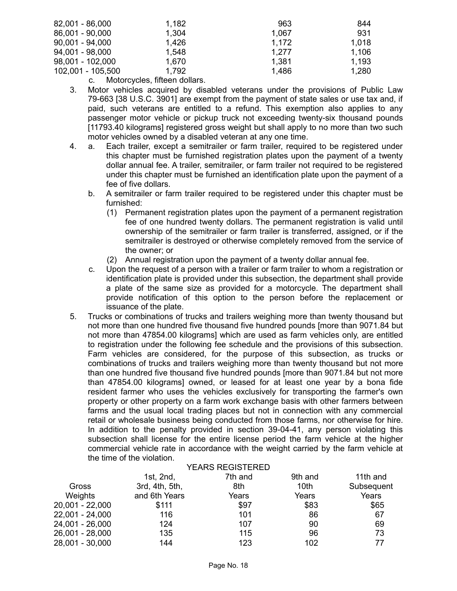| 82,001 - 86,000   | 1,182 | 963   | 844   |
|-------------------|-------|-------|-------|
| 86,001 - 90,000   | 1,304 | 1.067 | 931   |
| $90,001 - 94,000$ | 1,426 | 1.172 | 1.018 |
| 94,001 - 98,000   | 1,548 | 1.277 | 1,106 |
| 98,001 - 102,000  | 1.670 | 1,381 | 1,193 |
| 102,001 - 105,500 | 1,792 | 1,486 | 1,280 |
|                   | .     |       |       |

c. Motorcycles, fifteen dollars.

- 3. Motor vehicles acquired by disabled veterans under the provisions of Public Law 79-663 [38 U.S.C. 3901] are exempt from the payment of state sales or use tax and, if paid, such veterans are entitled to a refund. This exemption also applies to any passenger motor vehicle or pickup truck not exceeding twenty-six thousand pounds [11793.40 kilograms] registered gross weight but shall apply to no more than two such motor vehicles owned by a disabled veteran at any one time.
- 4. a. Each trailer, except a semitrailer or farm trailer, required to be registered under this chapter must be furnished registration plates upon the payment of a twenty dollar annual fee. A trailer, semitrailer, or farm trailer not required to be registered under this chapter must be furnished an identification plate upon the payment of a fee of five dollars.
	- b. A semitrailer or farm trailer required to be registered under this chapter must be furnished:
		- (1) Permanent registration plates upon the payment of a permanent registration fee of one hundred twenty dollars. The permanent registration is valid until ownership of the semitrailer or farm trailer is transferred, assigned, or if the semitrailer is destroyed or otherwise completely removed from the service of the owner; or
		- (2) Annual registration upon the payment of a twenty dollar annual fee.
	- c. Upon the request of a person with a trailer or farm trailer to whom a registration or identification plate is provided under this subsection, the department shall provide a plate of the same size as provided for a motorcycle. The department shall provide notification of this option to the person before the replacement or issuance of the plate.
- 5. Trucks or combinations of trucks and trailers weighing more than twenty thousand but not more than one hundred five thousand five hundred pounds [more than 9071.84 but not more than 47854.00 kilograms] which are used as farm vehicles only, are entitled to registration under the following fee schedule and the provisions of this subsection. Farm vehicles are considered, for the purpose of this subsection, as trucks or combinations of trucks and trailers weighing more than twenty thousand but not more than one hundred five thousand five hundred pounds [more than 9071.84 but not more than 47854.00 kilograms] owned, or leased for at least one year by a bona fide resident farmer who uses the vehicles exclusively for transporting the farmer's own property or other property on a farm work exchange basis with other farmers between farms and the usual local trading places but not in connection with any commercial retail or wholesale business being conducted from those farms, nor otherwise for hire. In addition to the penalty provided in section 39-04-41, any person violating this subsection shall license for the entire license period the farm vehicle at the higher commercial vehicle rate in accordance with the weight carried by the farm vehicle at the time of the violation.

|                   |                | <b>YEARS REGISTERED</b> |         |            |
|-------------------|----------------|-------------------------|---------|------------|
|                   | 1st, $2nd$ ,   | 7th and                 | 9th and | 11th and   |
| Gross             | 3rd, 4th, 5th, | 8th                     | 10th    | Subsequent |
| <b>Weights</b>    | and 6th Years  | Years                   | Years   | Years      |
| $20,001 - 22,000$ | \$111          | \$97                    | \$83    | \$65       |
| 22,001 - 24,000   | 116            | 101                     | 86      | 67         |
| 24,001 - 26,000   | 124            | 107                     | 90      | 69         |
| 26,001 - 28,000   | 135            | 115                     | 96      | 73         |
| 28,001 - 30,000   | 144            | 123                     | 102     | 77         |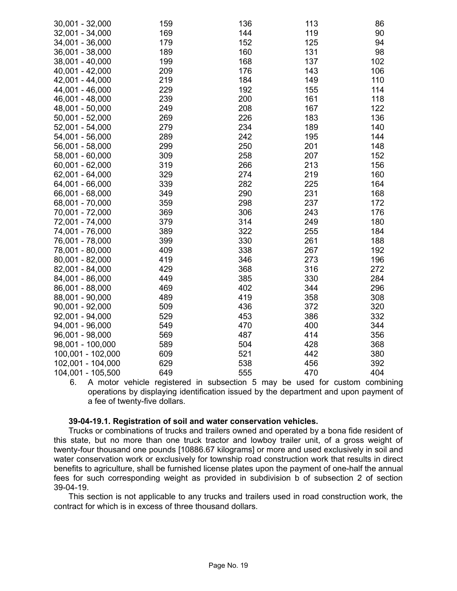| 30,001 - 32,000   | 159 | 136 | 113 | 86  |
|-------------------|-----|-----|-----|-----|
| 32,001 - 34,000   | 169 | 144 | 119 | 90  |
| 34,001 - 36,000   | 179 | 152 | 125 | 94  |
| 36,001 - 38,000   | 189 | 160 | 131 | 98  |
| 38,001 - 40,000   | 199 | 168 | 137 | 102 |
| 40,001 - 42,000   | 209 | 176 | 143 | 106 |
| 42,001 - 44,000   | 219 | 184 | 149 | 110 |
| 44,001 - 46,000   | 229 | 192 | 155 | 114 |
| 46,001 - 48,000   | 239 | 200 | 161 | 118 |
| 48,001 - 50,000   | 249 | 208 | 167 | 122 |
| 50,001 - 52,000   | 269 | 226 | 183 | 136 |
| 52,001 - 54,000   | 279 | 234 | 189 | 140 |
| 54,001 - 56,000   | 289 | 242 | 195 | 144 |
| 56,001 - 58,000   | 299 | 250 | 201 | 148 |
| 58,001 - 60,000   | 309 | 258 | 207 | 152 |
| 60,001 - 62,000   | 319 | 266 | 213 | 156 |
| 62,001 - 64,000   | 329 | 274 | 219 | 160 |
| 64,001 - 66,000   | 339 | 282 | 225 | 164 |
| 66,001 - 68,000   | 349 | 290 | 231 | 168 |
| 68,001 - 70,000   | 359 | 298 | 237 | 172 |
| 70,001 - 72,000   | 369 | 306 | 243 | 176 |
| 72,001 - 74,000   | 379 | 314 | 249 | 180 |
| 74,001 - 76,000   | 389 | 322 | 255 | 184 |
| 76,001 - 78,000   | 399 | 330 | 261 | 188 |
| 78,001 - 80,000   | 409 | 338 | 267 | 192 |
| 80,001 - 82,000   | 419 | 346 | 273 | 196 |
| 82,001 - 84,000   | 429 | 368 | 316 | 272 |
| 84,001 - 86,000   | 449 | 385 | 330 | 284 |
| 86,001 - 88,000   | 469 | 402 | 344 | 296 |
| 88,001 - 90,000   | 489 | 419 | 358 | 308 |
| $90,001 - 92,000$ | 509 | 436 | 372 | 320 |
| 92,001 - 94,000   | 529 | 453 | 386 | 332 |
| 94,001 - 96,000   | 549 | 470 | 400 | 344 |
| 96,001 - 98,000   | 569 | 487 | 414 | 356 |
| 98,001 - 100,000  | 589 | 504 | 428 | 368 |
| 100,001 - 102,000 | 609 | 521 | 442 | 380 |
| 102,001 - 104,000 | 629 | 538 | 456 | 392 |
| 104,001 - 105,500 | 649 | 555 | 470 | 404 |

6. A motor vehicle registered in subsection 5 may be used for custom combining operations by displaying identification issued by the department and upon payment of a fee of twenty-five dollars.

## **39-04-19.1. Registration of soil and water conservation vehicles.**

Trucks or combinations of trucks and trailers owned and operated by a bona fide resident of this state, but no more than one truck tractor and lowboy trailer unit, of a gross weight of twenty-four thousand one pounds [10886.67 kilograms] or more and used exclusively in soil and water conservation work or exclusively for township road construction work that results in direct benefits to agriculture, shall be furnished license plates upon the payment of one-half the annual fees for such corresponding weight as provided in subdivision b of subsection 2 of section 39-04-19.

This section is not applicable to any trucks and trailers used in road construction work, the contract for which is in excess of three thousand dollars.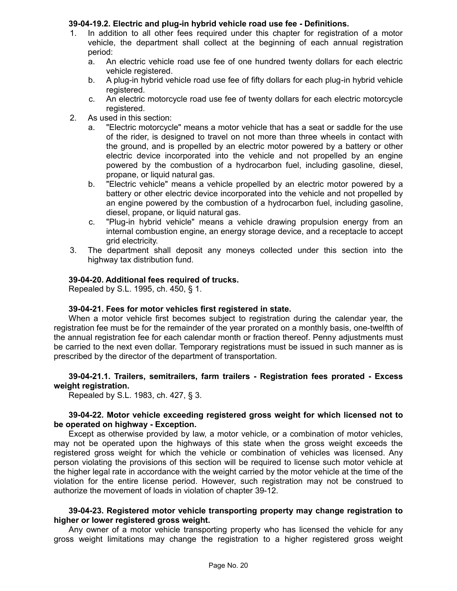# **39-04-19.2. Electric and plug-in hybrid vehicle road use fee - Definitions.**

- 1. In addition to all other fees required under this chapter for registration of a motor vehicle, the department shall collect at the beginning of each annual registration period:
	- a. An electric vehicle road use fee of one hundred twenty dollars for each electric vehicle registered.
	- b. A plug-in hybrid vehicle road use fee of fifty dollars for each plug-in hybrid vehicle registered.
	- c. An electric motorcycle road use fee of twenty dollars for each electric motorcycle registered.
- 2. As used in this section:
	- a. "Electric motorcycle" means a motor vehicle that has a seat or saddle for the use of the rider, is designed to travel on not more than three wheels in contact with the ground, and is propelled by an electric motor powered by a battery or other electric device incorporated into the vehicle and not propelled by an engine powered by the combustion of a hydrocarbon fuel, including gasoline, diesel, propane, or liquid natural gas.
	- b. "Electric vehicle" means a vehicle propelled by an electric motor powered by a battery or other electric device incorporated into the vehicle and not propelled by an engine powered by the combustion of a hydrocarbon fuel, including gasoline, diesel, propane, or liquid natural gas.
	- c. "Plug-in hybrid vehicle" means a vehicle drawing propulsion energy from an internal combustion engine, an energy storage device, and a receptacle to accept grid electricity.
- 3. The department shall deposit any moneys collected under this section into the highway tax distribution fund.

## **39-04-20. Additional fees required of trucks.**

Repealed by S.L. 1995, ch. 450, § 1.

## **39-04-21. Fees for motor vehicles first registered in state.**

When a motor vehicle first becomes subject to registration during the calendar year, the registration fee must be for the remainder of the year prorated on a monthly basis, one-twelfth of the annual registration fee for each calendar month or fraction thereof. Penny adjustments must be carried to the next even dollar. Temporary registrations must be issued in such manner as is prescribed by the director of the department of transportation.

## **39-04-21.1. Trailers, semitrailers, farm trailers - Registration fees prorated - Excess weight registration.**

Repealed by S.L. 1983, ch. 427, § 3.

# **39-04-22. Motor vehicle exceeding registered gross weight for which licensed not to be operated on highway - Exception.**

Except as otherwise provided by law, a motor vehicle, or a combination of motor vehicles, may not be operated upon the highways of this state when the gross weight exceeds the registered gross weight for which the vehicle or combination of vehicles was licensed. Any person violating the provisions of this section will be required to license such motor vehicle at the higher legal rate in accordance with the weight carried by the motor vehicle at the time of the violation for the entire license period. However, such registration may not be construed to authorize the movement of loads in violation of chapter 39-12.

## **39-04-23. Registered motor vehicle transporting property may change registration to higher or lower registered gross weight.**

Any owner of a motor vehicle transporting property who has licensed the vehicle for any gross weight limitations may change the registration to a higher registered gross weight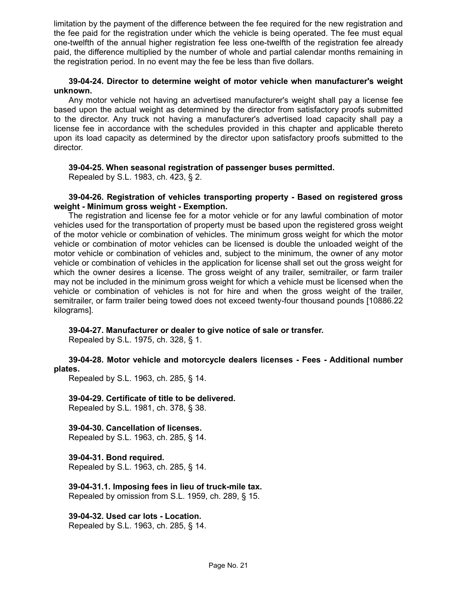limitation by the payment of the difference between the fee required for the new registration and the fee paid for the registration under which the vehicle is being operated. The fee must equal one-twelfth of the annual higher registration fee less one-twelfth of the registration fee already paid, the difference multiplied by the number of whole and partial calendar months remaining in the registration period. In no event may the fee be less than five dollars.

## **39-04-24. Director to determine weight of motor vehicle when manufacturer's weight unknown.**

Any motor vehicle not having an advertised manufacturer's weight shall pay a license fee based upon the actual weight as determined by the director from satisfactory proofs submitted to the director. Any truck not having a manufacturer's advertised load capacity shall pay a license fee in accordance with the schedules provided in this chapter and applicable thereto upon its load capacity as determined by the director upon satisfactory proofs submitted to the director.

## **39-04-25. When seasonal registration of passenger buses permitted.**

Repealed by S.L. 1983, ch. 423, § 2.

## **39-04-26. Registration of vehicles transporting property - Based on registered gross weight - Minimum gross weight - Exemption.**

The registration and license fee for a motor vehicle or for any lawful combination of motor vehicles used for the transportation of property must be based upon the registered gross weight of the motor vehicle or combination of vehicles. The minimum gross weight for which the motor vehicle or combination of motor vehicles can be licensed is double the unloaded weight of the motor vehicle or combination of vehicles and, subject to the minimum, the owner of any motor vehicle or combination of vehicles in the application for license shall set out the gross weight for which the owner desires a license. The gross weight of any trailer, semitrailer, or farm trailer may not be included in the minimum gross weight for which a vehicle must be licensed when the vehicle or combination of vehicles is not for hire and when the gross weight of the trailer, semitrailer, or farm trailer being towed does not exceed twenty-four thousand pounds [10886.22 kilograms].

# **39-04-27. Manufacturer or dealer to give notice of sale or transfer.**

Repealed by S.L. 1975, ch. 328, § 1.

## **39-04-28. Motor vehicle and motorcycle dealers licenses - Fees - Additional number plates.**

Repealed by S.L. 1963, ch. 285, § 14.

# **39-04-29. Certificate of title to be delivered.**

Repealed by S.L. 1981, ch. 378, § 38.

# **39-04-30. Cancellation of licenses.**

Repealed by S.L. 1963, ch. 285, § 14.

# **39-04-31. Bond required.**

Repealed by S.L. 1963, ch. 285, § 14.

# **39-04-31.1. Imposing fees in lieu of truck-mile tax.**

Repealed by omission from S.L. 1959, ch. 289, § 15.

# **39-04-32. Used car lots - Location.**

Repealed by S.L. 1963, ch. 285, § 14.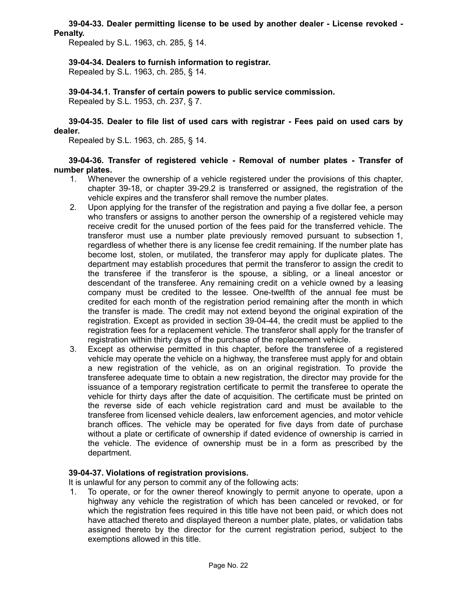## **39-04-33. Dealer permitting license to be used by another dealer - License revoked - Penalty.**

Repealed by S.L. 1963, ch. 285, § 14.

## **39-04-34. Dealers to furnish information to registrar.**

Repealed by S.L. 1963, ch. 285, § 14.

**39-04-34.1. Transfer of certain powers to public service commission.** Repealed by S.L. 1953, ch. 237, § 7.

**39-04-35. Dealer to file list of used cars with registrar - Fees paid on used cars by dealer.**

Repealed by S.L. 1963, ch. 285, § 14.

**39-04-36. Transfer of registered vehicle - Removal of number plates - Transfer of number plates.**

- 1. Whenever the ownership of a vehicle registered under the provisions of this chapter, chapter 39-18, or chapter 39-29.2 is transferred or assigned, the registration of the vehicle expires and the transferor shall remove the number plates.
- 2. Upon applying for the transfer of the registration and paying a five dollar fee, a person who transfers or assigns to another person the ownership of a registered vehicle may receive credit for the unused portion of the fees paid for the transferred vehicle. The transferor must use a number plate previously removed pursuant to subsection 1, regardless of whether there is any license fee credit remaining. If the number plate has become lost, stolen, or mutilated, the transferor may apply for duplicate plates. The department may establish procedures that permit the transferor to assign the credit to the transferee if the transferor is the spouse, a sibling, or a lineal ancestor or descendant of the transferee. Any remaining credit on a vehicle owned by a leasing company must be credited to the lessee. One-twelfth of the annual fee must be credited for each month of the registration period remaining after the month in which the transfer is made. The credit may not extend beyond the original expiration of the registration. Except as provided in section 39-04-44, the credit must be applied to the registration fees for a replacement vehicle. The transferor shall apply for the transfer of registration within thirty days of the purchase of the replacement vehicle.
- 3. Except as otherwise permitted in this chapter, before the transferee of a registered vehicle may operate the vehicle on a highway, the transferee must apply for and obtain a new registration of the vehicle, as on an original registration. To provide the transferee adequate time to obtain a new registration, the director may provide for the issuance of a temporary registration certificate to permit the transferee to operate the vehicle for thirty days after the date of acquisition. The certificate must be printed on the reverse side of each vehicle registration card and must be available to the transferee from licensed vehicle dealers, law enforcement agencies, and motor vehicle branch offices. The vehicle may be operated for five days from date of purchase without a plate or certificate of ownership if dated evidence of ownership is carried in the vehicle. The evidence of ownership must be in a form as prescribed by the department.

## **39-04-37. Violations of registration provisions.**

It is unlawful for any person to commit any of the following acts:

1. To operate, or for the owner thereof knowingly to permit anyone to operate, upon a highway any vehicle the registration of which has been canceled or revoked, or for which the registration fees required in this title have not been paid, or which does not have attached thereto and displayed thereon a number plate, plates, or validation tabs assigned thereto by the director for the current registration period, subject to the exemptions allowed in this title.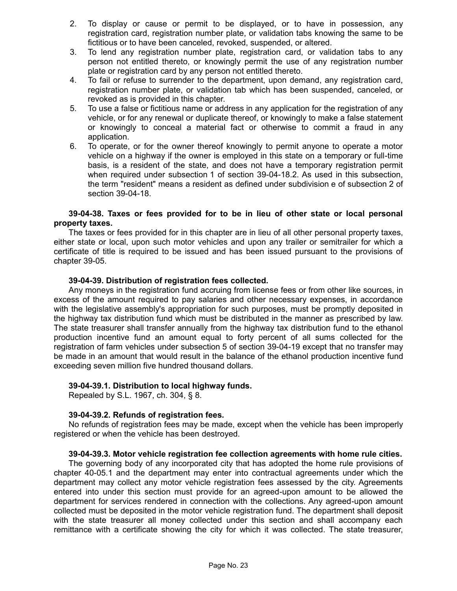- 2. To display or cause or permit to be displayed, or to have in possession, any registration card, registration number plate, or validation tabs knowing the same to be fictitious or to have been canceled, revoked, suspended, or altered.
- 3. To lend any registration number plate, registration card, or validation tabs to any person not entitled thereto, or knowingly permit the use of any registration number plate or registration card by any person not entitled thereto.
- 4. To fail or refuse to surrender to the department, upon demand, any registration card, registration number plate, or validation tab which has been suspended, canceled, or revoked as is provided in this chapter.
- 5. To use a false or fictitious name or address in any application for the registration of any vehicle, or for any renewal or duplicate thereof, or knowingly to make a false statement or knowingly to conceal a material fact or otherwise to commit a fraud in any application.
- 6. To operate, or for the owner thereof knowingly to permit anyone to operate a motor vehicle on a highway if the owner is employed in this state on a temporary or full-time basis, is a resident of the state, and does not have a temporary registration permit when required under subsection 1 of section 39-04-18.2. As used in this subsection, the term "resident" means a resident as defined under subdivision e of subsection 2 of section 39-04-18.

## **39-04-38. Taxes or fees provided for to be in lieu of other state or local personal property taxes.**

The taxes or fees provided for in this chapter are in lieu of all other personal property taxes, either state or local, upon such motor vehicles and upon any trailer or semitrailer for which a certificate of title is required to be issued and has been issued pursuant to the provisions of chapter 39-05.

## **39-04-39. Distribution of registration fees collected.**

Any moneys in the registration fund accruing from license fees or from other like sources, in excess of the amount required to pay salaries and other necessary expenses, in accordance with the legislative assembly's appropriation for such purposes, must be promptly deposited in the highway tax distribution fund which must be distributed in the manner as prescribed by law. The state treasurer shall transfer annually from the highway tax distribution fund to the ethanol production incentive fund an amount equal to forty percent of all sums collected for the registration of farm vehicles under subsection 5 of section 39-04-19 except that no transfer may be made in an amount that would result in the balance of the ethanol production incentive fund exceeding seven million five hundred thousand dollars.

## **39-04-39.1. Distribution to local highway funds.**

Repealed by S.L. 1967, ch. 304, § 8.

## **39-04-39.2. Refunds of registration fees.**

No refunds of registration fees may be made, except when the vehicle has been improperly registered or when the vehicle has been destroyed.

## **39-04-39.3. Motor vehicle registration fee collection agreements with home rule cities.**

The governing body of any incorporated city that has adopted the home rule provisions of chapter 40-05.1 and the department may enter into contractual agreements under which the department may collect any motor vehicle registration fees assessed by the city. Agreements entered into under this section must provide for an agreed-upon amount to be allowed the department for services rendered in connection with the collections. Any agreed-upon amount collected must be deposited in the motor vehicle registration fund. The department shall deposit with the state treasurer all money collected under this section and shall accompany each remittance with a certificate showing the city for which it was collected. The state treasurer,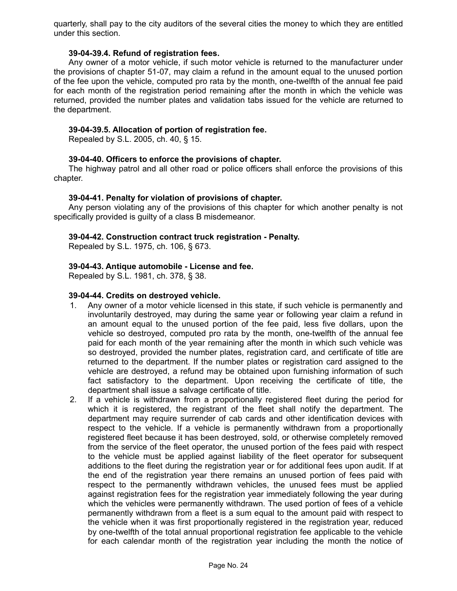quarterly, shall pay to the city auditors of the several cities the money to which they are entitled under this section.

## **39-04-39.4. Refund of registration fees.**

Any owner of a motor vehicle, if such motor vehicle is returned to the manufacturer under the provisions of chapter 51-07, may claim a refund in the amount equal to the unused portion of the fee upon the vehicle, computed pro rata by the month, one-twelfth of the annual fee paid for each month of the registration period remaining after the month in which the vehicle was returned, provided the number plates and validation tabs issued for the vehicle are returned to the department.

## **39-04-39.5. Allocation of portion of registration fee.**

Repealed by S.L. 2005, ch. 40, § 15.

## **39-04-40. Officers to enforce the provisions of chapter.**

The highway patrol and all other road or police officers shall enforce the provisions of this chapter.

## **39-04-41. Penalty for violation of provisions of chapter.**

Any person violating any of the provisions of this chapter for which another penalty is not specifically provided is guilty of a class B misdemeanor.

## **39-04-42. Construction contract truck registration - Penalty.**

Repealed by S.L. 1975, ch. 106, § 673.

## **39-04-43. Antique automobile - License and fee.**

Repealed by S.L. 1981, ch. 378, § 38.

## **39-04-44. Credits on destroyed vehicle.**

- 1. Any owner of a motor vehicle licensed in this state, if such vehicle is permanently and involuntarily destroyed, may during the same year or following year claim a refund in an amount equal to the unused portion of the fee paid, less five dollars, upon the vehicle so destroyed, computed pro rata by the month, one-twelfth of the annual fee paid for each month of the year remaining after the month in which such vehicle was so destroyed, provided the number plates, registration card, and certificate of title are returned to the department. If the number plates or registration card assigned to the vehicle are destroyed, a refund may be obtained upon furnishing information of such fact satisfactory to the department. Upon receiving the certificate of title, the department shall issue a salvage certificate of title.
- 2. If a vehicle is withdrawn from a proportionally registered fleet during the period for which it is registered, the registrant of the fleet shall notify the department. The department may require surrender of cab cards and other identification devices with respect to the vehicle. If a vehicle is permanently withdrawn from a proportionally registered fleet because it has been destroyed, sold, or otherwise completely removed from the service of the fleet operator, the unused portion of the fees paid with respect to the vehicle must be applied against liability of the fleet operator for subsequent additions to the fleet during the registration year or for additional fees upon audit. If at the end of the registration year there remains an unused portion of fees paid with respect to the permanently withdrawn vehicles, the unused fees must be applied against registration fees for the registration year immediately following the year during which the vehicles were permanently withdrawn. The used portion of fees of a vehicle permanently withdrawn from a fleet is a sum equal to the amount paid with respect to the vehicle when it was first proportionally registered in the registration year, reduced by one-twelfth of the total annual proportional registration fee applicable to the vehicle for each calendar month of the registration year including the month the notice of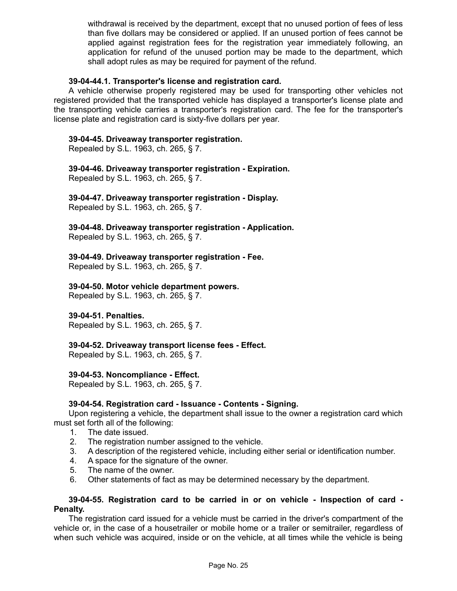withdrawal is received by the department, except that no unused portion of fees of less than five dollars may be considered or applied. If an unused portion of fees cannot be applied against registration fees for the registration year immediately following, an application for refund of the unused portion may be made to the department, which shall adopt rules as may be required for payment of the refund.

## **39-04-44.1. Transporter's license and registration card.**

A vehicle otherwise properly registered may be used for transporting other vehicles not registered provided that the transported vehicle has displayed a transporter's license plate and the transporting vehicle carries a transporter's registration card. The fee for the transporter's license plate and registration card is sixty-five dollars per year.

## **39-04-45. Driveaway transporter registration.**

Repealed by S.L. 1963, ch. 265, § 7.

## **39-04-46. Driveaway transporter registration - Expiration.**

Repealed by S.L. 1963, ch. 265, § 7.

## **39-04-47. Driveaway transporter registration - Display.**

Repealed by S.L. 1963, ch. 265, § 7.

**39-04-48. Driveaway transporter registration - Application.** Repealed by S.L. 1963, ch. 265, § 7.

## **39-04-49. Driveaway transporter registration - Fee.**

Repealed by S.L. 1963, ch. 265, § 7.

## **39-04-50. Motor vehicle department powers.**

Repealed by S.L. 1963, ch. 265, § 7.

## **39-04-51. Penalties.**

Repealed by S.L. 1963, ch. 265, § 7.

## **39-04-52. Driveaway transport license fees - Effect.**

Repealed by S.L. 1963, ch. 265, § 7.

## **39-04-53. Noncompliance - Effect.**

Repealed by S.L. 1963, ch. 265, § 7.

## **39-04-54. Registration card - Issuance - Contents - Signing.**

Upon registering a vehicle, the department shall issue to the owner a registration card which must set forth all of the following:

- 1. The date issued.
- 2. The registration number assigned to the vehicle.
- 3. A description of the registered vehicle, including either serial or identification number.
- 4. A space for the signature of the owner.
- 5. The name of the owner.
- 6. Other statements of fact as may be determined necessary by the department.

#### **39-04-55. Registration card to be carried in or on vehicle - Inspection of card - Penalty.**

The registration card issued for a vehicle must be carried in the driver's compartment of the vehicle or, in the case of a housetrailer or mobile home or a trailer or semitrailer, regardless of when such vehicle was acquired, inside or on the vehicle, at all times while the vehicle is being